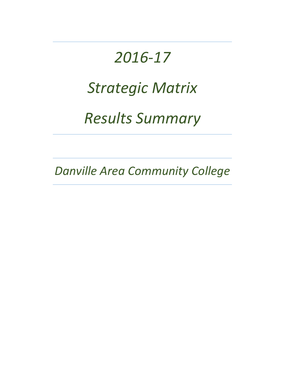# *2016-17 Strategic Matrix Results Summary*

*Danville Area Community College*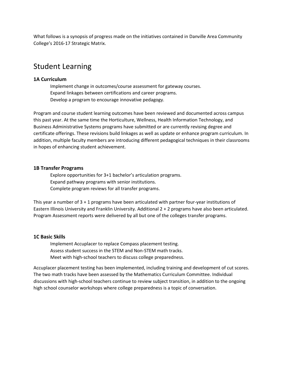What follows is a synopsis of progress made on the initiatives contained in Danville Area Community College's 2016-17 Strategic Matrix.

# Student Learning

# **1A Curriculum**

Implement change in outcomes/course assessment for gateway courses. Expand linkages between certifications and career programs. Develop a program to encourage innovative pedagogy.

Program and course student learning outcomes have been reviewed and documented across campus this past year. At the same time the Horticulture, Wellness, Health Information Technology, and Business Administrative Systems programs have submitted or are currently revising degree and certificate offerings. These revisions build linkages as well as update or enhance program curriculum. In addition, multiple faculty members are introducing different pedagogical techniques in their classrooms in hopes of enhancing student achievement.

# **1B Transfer Programs**

Explore opportunities for 3+1 bachelor's articulation programs. Expand pathway programs with senior institutions. Complete program reviews for all transfer programs.

This year a number of 3 + 1 programs have been articulated with partner four-year institutions of Eastern Illinois University and Franklin University. Additional 2 + 2 programs have also been articulated. Program Assessment reports were delivered by all but one of the colleges transfer programs.

# **1C Basic Skills**

Implement Accuplacer to replace Compass placement testing. Assess student success in the STEM and Non-STEM math tracks. Meet with high-school teachers to discuss college preparedness.

Accuplacer placement testing has been implemented, including training and development of cut scores. The two math tracks have been assessed by the Mathematics Curriculum Committee. Individual discussions with high-school teachers continue to review subject transition, in addition to the ongoing high school counselor workshops where college preparedness is a topic of conversation.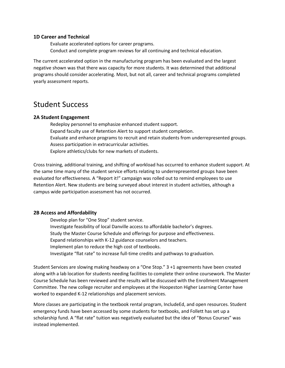### **1D Career and Technical**

Evaluate accelerated options for career programs. Conduct and complete program reviews for all continuing and technical education.

The current accelerated option in the manufacturing program has been evaluated and the largest negative shown was that there was capacity for more students. It was determined that additional programs should consider accelerating. Most, but not all, career and technical programs completed yearly assessment reports.

# Student Success

# **2A Student Engagement**

Redeploy personnel to emphasize enhanced student support. Expand faculty use of Retention Alert to support student completion. Evaluate and enhance programs to recruit and retain students from underrepresented groups. Assess participation in extracurricular activities. Explore athletics/clubs for new markets of students.

Cross training, additional training, and shifting of workload has occurred to enhance student support. At the same time many of the student service efforts relating to underrepresented groups have been evaluated for effectiveness. A "Report it!" campaign was rolled out to remind employees to use Retention Alert. New students are being surveyed about interest in student activities, although a campus wide participation assessment has not occurred.

# **2B Access and Affordability**

Develop plan for "One Stop" student service. Investigate feasibility of local Danville access to affordable bachelor's degrees. Study the Master Course Schedule and offerings for purpose and effectiveness. Expand relationships with K-12 guidance counselors and teachers. Implement plan to reduce the high cost of textbooks. Investigate "flat rate" to increase full-time credits and pathways to graduation.

Student Services are slowing making headway on a "One Stop." 3 +1 agreements have been created along with a lab location for students needing facilities to complete their online coursework. The Master Course Schedule has been reviewed and the results will be discussed with the Enrollment Management Committee. The new college recruiter and employees at the Hoopeston Higher Learning Center have worked to expanded K-12 relationships and placement services.

More classes are participating in the textbook rental program, IncludeEd, and open resources. Student emergency funds have been accessed by some students for textbooks, and Follett has set up a scholarship fund. A "flat rate" tuition was negatively evaluated but the idea of "Bonus Courses" was instead implemented.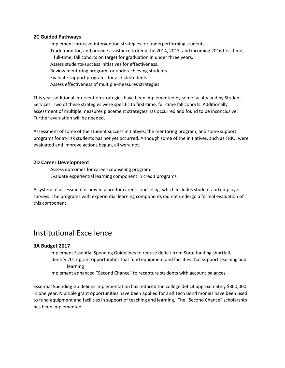# **2C Guided Pathways**

Implement intrusive-intervention strategies for underperforming students. Track, monitor, and provide assistance to keep the 2014, 2015, and incoming 2016 first-time, full-time, fall cohorts on target for graduation in under three years. Assess students-success initiatives for effectiveness. Review mentoring program for underachieving students. Evaluate support programs for at-risk students. Assess effectiveness of multiple-measures strategies.

This year additional intervention strategies have been implemented by some faculty and by Student Services. Two of these strategies were specific to first-time, full-time fall cohorts. Additionally assessment of multiple measures placement strategies has occurred and found to be inconclusive. Further evaluation will be needed.

Assessment of some of the student success initiatives, the mentoring program, and some support programs for at-risk students has not yet occurred. Although some of the initiatives, such as TRIO, were evaluated and improve actions begun, all were not.

# **2D Career Development**

Assess outcomes for career-counseling program. Evaluate experiential learning component in credit programs.

A system of assessment is now in place for career counseling, which includes student and employer surveys. The programs with experiential learning components did not undergo a formal evaluation of this component.

# Institutional Excellence

# **3A Budget 2017**

Implement Essential Spending Guidelines to reduce deficit from State funding shortfall. Identify 2017 grant opportunities that fund equipment and facilities that support teaching and learning

Implement enhanced "Second Chance" to recapture students with account balances.

Essential Spending Guidelines implementation has reduced the college deficit approximately \$300,000 in one year. Multiple grant opportunities have been applied for and Tech Bond monies have been used to fund equipment and facilities in support of teaching and learning. The "Second Chance" scholarship has been implemented.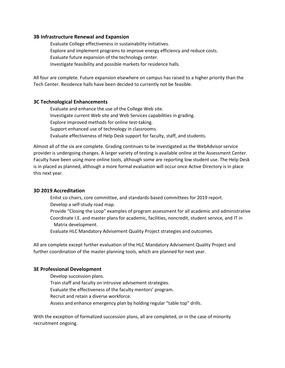# **3B Infrastructure Renewal and Expansion**

Evaluate College effectiveness in sustainability initiatives. Explore and implement programs to improve energy efficiency and reduce costs. Evaluate future expansion of the technology center. Investigate feasibility and possible markets for residence halls.

All four are complete. Future expansion elsewhere on campus has raised to a higher priority than the Tech Center. Residence halls have been decided to currently not be feasible.

#### **3C Technological Enhancements**

Evaluate and enhance the use of the College Web site. Investigate current Web site and Web Services capabilities in grading. Explore improved methods for online test-taking. Support enhanced use of technology in classrooms. Evaluate effectiveness of Help Desk support for faculty, staff, and students.

Almost all of the six are complete. Grading continues to be investigated as the WebAdvisor service provider is undergoing changes. A larger variety of testing is available online at the Assessment Center. Faculty have been using more online tools, although some are reporting low student use. The Help Desk is in placed as planned, although a more formal evaluation will occur once Active Directory is in place this next year.

#### **3D 2019 Accreditation**

Enlist co-chairs, core committee, and standards-based committees for 2019 report. Develop a self-study road map.

Provide "Closing the Loop" examples of program assessment for all academic and administrative Coordinate I.E. and master plans for academic, facilities, noncredit, student service, and IT in Matrix development.

Evaluate HLC Mandatory Advisement Quality Project strategies and outcomes.

All are complete except further evaluation of the HLC Mandatory Advisement Quality Project and further coordination of the master planning tools, which are planned for next year.

#### **3E Professional Development**

Develop succession plans. Train staff and faculty on intrusive advisement strategies. Evaluate the effectiveness of the faculty mentors' program. Recruit and retain a diverse workforce. Assess and enhance emergency plan by holding regular "table top" drills.

With the exception of formalized succession plans, all are completed, or in the case of minority recruitment ongoing.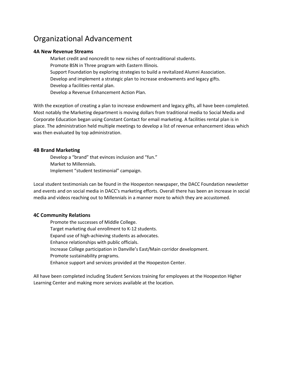# Organizational Advancement

# **4A New Revenue Streams**

Market credit and noncredit to new niches of nontraditional students. Promote BSN in Three program with Eastern Illinois. Support Foundation by exploring strategies to build a revitalized Alumni Association. Develop and implement a strategic plan to increase endowments and legacy gifts. Develop a facilities-rental plan. Develop a Revenue Enhancement Action Plan.

With the exception of creating a plan to increase endowment and legacy gifts, all have been completed. Most notably the Marketing department is moving dollars from traditional media to Social Media and Corporate Education began using Constant Contact for email marketing. A facilities rental plan is in place. The administration held multiple meetings to develop a list of revenue enhancement ideas which was then evaluated by top administration.

#### **4B Brand Marketing**

Develop a "brand" that evinces inclusion and "fun." Market to Millennials. Implement "student testimonial" campaign.

Local student testimonials can be found in the Hoopeston newspaper, the DACC Foundation newsletter and events and on social media in DACC's marketing efforts. Overall there has been an increase in social media and videos reaching out to Millennials in a manner more to which they are accustomed.

# **4C Community Relations**

Promote the successes of Middle College. Target marketing dual enrollment to K-12 students. Expand use of high-achieving students as advocates. Enhance relationships with public officials. Increase College participation in Danville's East/Main corridor development. Promote sustainability programs. Enhance support and services provided at the Hoopeston Center.

All have been completed including Student Services training for employees at the Hoopeston Higher Learning Center and making more services available at the location.